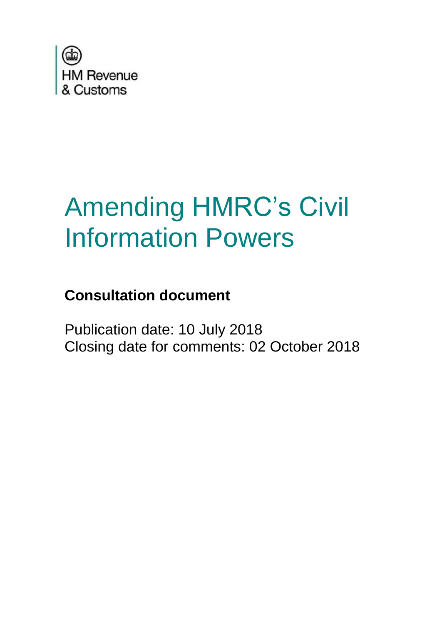

# Amending HMRC's Civil Information Powers

### **Consultation document**

Publication date: 10 July 2018 Closing date for comments: 02 October 2018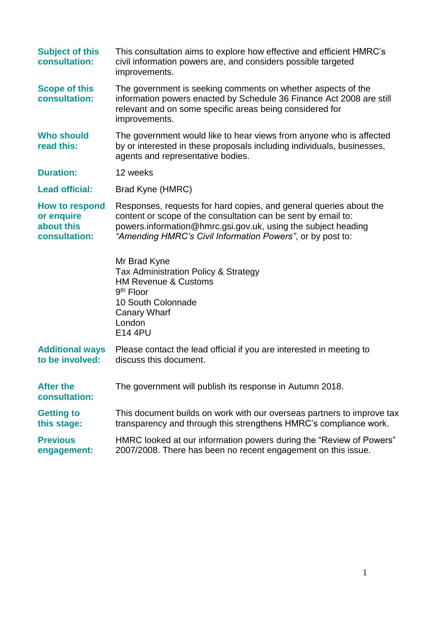| <b>Subject of this</b><br>consultation:                     | This consultation aims to explore how effective and efficient HMRC's<br>civil information powers are, and considers possible targeted<br>improvements.                                                                                                             |
|-------------------------------------------------------------|--------------------------------------------------------------------------------------------------------------------------------------------------------------------------------------------------------------------------------------------------------------------|
| <b>Scope of this</b><br>consultation:                       | The government is seeking comments on whether aspects of the<br>information powers enacted by Schedule 36 Finance Act 2008 are still<br>relevant and on some specific areas being considered for<br>improvements.                                                  |
| <b>Who should</b><br>read this:                             | The government would like to hear views from anyone who is affected<br>by or interested in these proposals including individuals, businesses,<br>agents and representative bodies.                                                                                 |
| <b>Duration:</b>                                            | 12 weeks                                                                                                                                                                                                                                                           |
| <b>Lead official:</b>                                       | Brad Kyne (HMRC)                                                                                                                                                                                                                                                   |
| How to respond<br>or enquire<br>about this<br>consultation: | Responses, requests for hard copies, and general queries about the<br>content or scope of the consultation can be sent by email to:<br>powers.information@hmrc.gsi.gov.uk, using the subject heading<br>"Amending HMRC's Civil Information Powers", or by post to: |
|                                                             | Mr Brad Kyne<br>Tax Administration Policy & Strategy<br><b>HM Revenue &amp; Customs</b><br>$9th$ Floor<br>10 South Colonnade<br><b>Canary Wharf</b><br>London<br>E14 4PU                                                                                           |
| <b>Additional ways</b><br>to be involved:                   | Please contact the lead official if you are interested in meeting to<br>discuss this document.                                                                                                                                                                     |
| <b>After the</b><br>consultation:                           | The government will publish its response in Autumn 2018.                                                                                                                                                                                                           |
| <b>Getting to</b><br>this stage:                            | This document builds on work with our overseas partners to improve tax<br>transparency and through this strengthens HMRC's compliance work.                                                                                                                        |
| <b>Previous</b><br>engagement:                              | HMRC looked at our information powers during the "Review of Powers"<br>2007/2008. There has been no recent engagement on this issue.                                                                                                                               |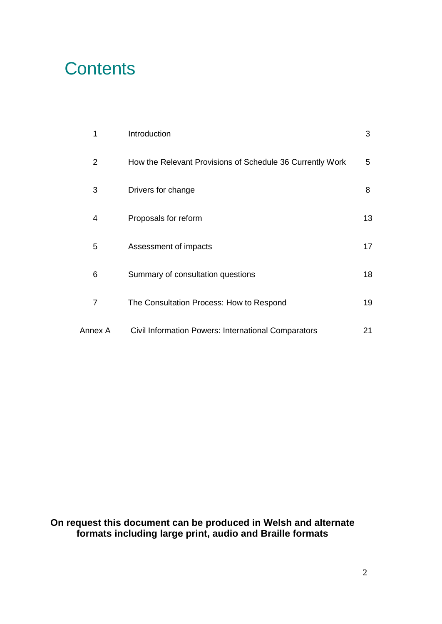### **Contents**

| 1              | Introduction                                              | 3  |
|----------------|-----------------------------------------------------------|----|
| 2              | How the Relevant Provisions of Schedule 36 Currently Work | 5  |
| 3              | Drivers for change                                        | 8  |
| 4              | Proposals for reform                                      | 13 |
| 5              | Assessment of impacts                                     | 17 |
| 6              | Summary of consultation questions                         | 18 |
| $\overline{7}$ | The Consultation Process: How to Respond                  | 19 |
| Annex A        | Civil Information Powers: International Comparators       | 21 |

**On request this document can be produced in Welsh and alternate formats including large print, audio and Braille formats**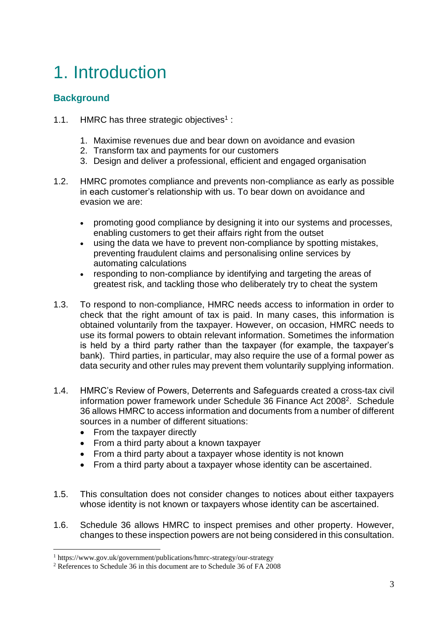## 1. Introduction

#### **Background**

- 1.1. HMRC has three strategic objectives<sup>1</sup>:
	- 1. Maximise revenues due and bear down on avoidance and evasion
	- 2. Transform tax and payments for our customers
	- 3. Design and deliver a professional, efficient and engaged organisation
- 1.2. HMRC promotes compliance and prevents non-compliance as early as possible in each customer's relationship with us. To bear down on avoidance and evasion we are:
	- promoting good compliance by designing it into our systems and processes, enabling customers to get their affairs right from the outset
	- using the data we have to prevent non-compliance by spotting mistakes, preventing fraudulent claims and personalising online services by automating calculations
	- responding to non-compliance by identifying and targeting the areas of greatest risk, and tackling those who deliberately try to cheat the system
- 1.3. To respond to non-compliance, HMRC needs access to information in order to check that the right amount of tax is paid. In many cases, this information is obtained voluntarily from the taxpayer. However, on occasion, HMRC needs to use its formal powers to obtain relevant information. Sometimes the information is held by a third party rather than the taxpayer (for example, the taxpayer's bank). Third parties, in particular, may also require the use of a formal power as data security and other rules may prevent them voluntarily supplying information.
- 1.4. HMRC's Review of Powers, Deterrents and Safeguards created a cross-tax civil information power framework under Schedule 36 Finance Act 2008<sup>2</sup>. Schedule 36 allows HMRC to access information and documents from a number of different sources in a number of different situations:
	- From the taxpayer directly

- From a third party about a known taxpayer
- From a third party about a taxpayer whose identity is not known
- From a third party about a taxpayer whose identity can be ascertained.
- 1.5. This consultation does not consider changes to notices about either taxpayers whose identity is not known or taxpayers whose identity can be ascertained.
- 1.6. Schedule 36 allows HMRC to inspect premises and other property. However, changes to these inspection powers are not being considered in this consultation.

<sup>1</sup> https://www.gov.uk/government/publications/hmrc-strategy/our-strategy

<sup>&</sup>lt;sup>2</sup> References to Schedule 36 in this document are to Schedule 36 of FA 2008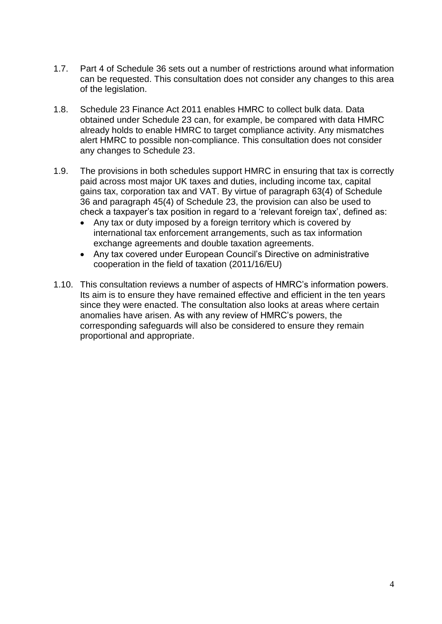- 1.7. Part 4 of Schedule 36 sets out a number of restrictions around what information can be requested. This consultation does not consider any changes to this area of the legislation.
- 1.8. Schedule 23 Finance Act 2011 enables HMRC to collect bulk data. Data obtained under Schedule 23 can, for example, be compared with data HMRC already holds to enable HMRC to target compliance activity. Any mismatches alert HMRC to possible non-compliance. This consultation does not consider any changes to Schedule 23.
- 1.9. The provisions in both schedules support HMRC in ensuring that tax is correctly paid across most major UK taxes and duties, including income tax, capital gains tax, corporation tax and VAT. By virtue of paragraph 63(4) of Schedule 36 and paragraph 45(4) of Schedule 23, the provision can also be used to check a taxpayer's tax position in regard to a 'relevant foreign tax', defined as:
	- Any tax or duty imposed by a foreign territory which is covered by international tax enforcement arrangements, such as tax information exchange agreements and double taxation agreements.
	- Any tax covered under European Council's Directive on administrative cooperation in the field of taxation (2011/16/EU)
- 1.10. This consultation reviews a number of aspects of HMRC's information powers. Its aim is to ensure they have remained effective and efficient in the ten years since they were enacted. The consultation also looks at areas where certain anomalies have arisen. As with any review of HMRC's powers, the corresponding safeguards will also be considered to ensure they remain proportional and appropriate.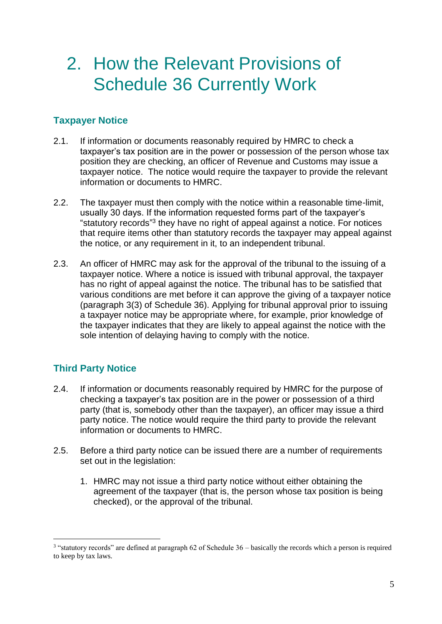### 2. How the Relevant Provisions of Schedule 36 Currently Work

#### **Taxpayer Notice**

- 2.1. If information or documents reasonably required by HMRC to check a taxpayer's tax position are in the power or possession of the person whose tax position they are checking, an officer of Revenue and Customs may issue a taxpayer notice. The notice would require the taxpayer to provide the relevant information or documents to HMRC.
- 2.2. The taxpayer must then comply with the notice within a reasonable time-limit, usually 30 days. If the information requested forms part of the taxpayer's "statutory records"<sup>3</sup> they have no right of appeal against a notice. For notices that require items other than statutory records the taxpayer may appeal against the notice, or any requirement in it, to an independent tribunal.
- 2.3. An officer of HMRC may ask for the approval of the tribunal to the issuing of a taxpayer notice. Where a notice is issued with tribunal approval, the taxpayer has no right of appeal against the notice. The tribunal has to be satisfied that various conditions are met before it can approve the giving of a taxpayer notice (paragraph 3(3) of Schedule 36). Applying for tribunal approval prior to issuing a taxpayer notice may be appropriate where, for example, prior knowledge of the taxpayer indicates that they are likely to appeal against the notice with the sole intention of delaying having to comply with the notice.

#### **Third Party Notice**

- 2.4. If information or documents reasonably required by HMRC for the purpose of checking a taxpayer's tax position are in the power or possession of a third party (that is, somebody other than the taxpayer), an officer may issue a third party notice. The notice would require the third party to provide the relevant information or documents to HMRC.
- 2.5. Before a third party notice can be issued there are a number of requirements set out in the legislation:
	- 1. HMRC may not issue a third party notice without either obtaining the agreement of the taxpayer (that is, the person whose tax position is being checked), or the approval of the tribunal.

<sup>&</sup>lt;sup>3</sup> "statutory records" are defined at paragraph 62 of Schedule 36 – basically the records which a person is required to keep by tax laws.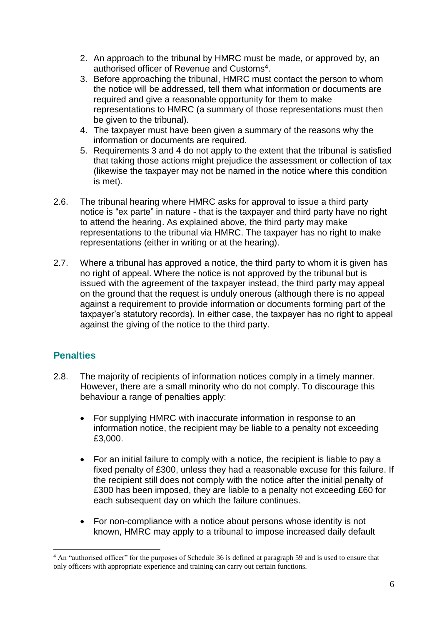- 2. An approach to the tribunal by HMRC must be made, or approved by, an authorised officer of Revenue and Customs<sup>4</sup>.
- 3. Before approaching the tribunal, HMRC must contact the person to whom the notice will be addressed, tell them what information or documents are required and give a reasonable opportunity for them to make representations to HMRC (a summary of those representations must then be given to the tribunal).
- 4. The taxpayer must have been given a summary of the reasons why the information or documents are required.
- 5. Requirements 3 and 4 do not apply to the extent that the tribunal is satisfied that taking those actions might prejudice the assessment or collection of tax (likewise the taxpayer may not be named in the notice where this condition is met).
- 2.6. The tribunal hearing where HMRC asks for approval to issue a third party notice is "ex parte" in nature - that is the taxpayer and third party have no right to attend the hearing. As explained above, the third party may make representations to the tribunal via HMRC. The taxpayer has no right to make representations (either in writing or at the hearing).
- 2.7. Where a tribunal has approved a notice, the third party to whom it is given has no right of appeal. Where the notice is not approved by the tribunal but is issued with the agreement of the taxpayer instead, the third party may appeal on the ground that the request is unduly onerous (although there is no appeal against a requirement to provide information or documents forming part of the taxpayer's statutory records). In either case, the taxpayer has no right to appeal against the giving of the notice to the third party.

#### **Penalties**

- 2.8. The majority of recipients of information notices comply in a timely manner. However, there are a small minority who do not comply. To discourage this behaviour a range of penalties apply:
	- For supplying HMRC with inaccurate information in response to an information notice, the recipient may be liable to a penalty not exceeding £3,000.
	- For an initial failure to comply with a notice, the recipient is liable to pay a fixed penalty of £300, unless they had a reasonable excuse for this failure. If the recipient still does not comply with the notice after the initial penalty of £300 has been imposed, they are liable to a penalty not exceeding £60 for each subsequent day on which the failure continues.
	- For non-compliance with a notice about persons whose identity is not known, HMRC may apply to a tribunal to impose increased daily default

<sup>&</sup>lt;u>.</u> <sup>4</sup> An "authorised officer" for the purposes of Schedule 36 is defined at paragraph 59 and is used to ensure that only officers with appropriate experience and training can carry out certain functions.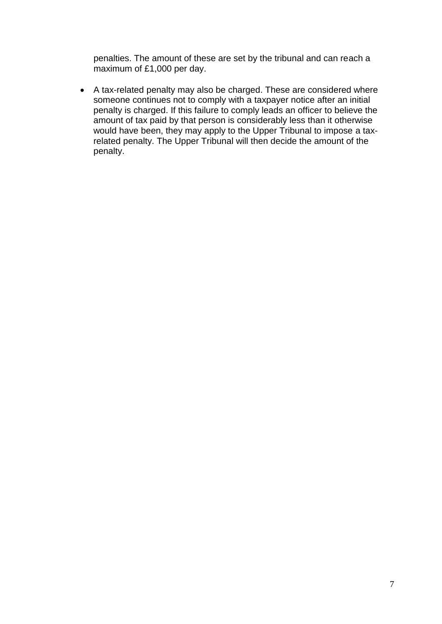penalties. The amount of these are set by the tribunal and can reach a maximum of £1,000 per day.

 A tax-related penalty may also be charged. These are considered where someone continues not to comply with a taxpayer notice after an initial penalty is charged. If this failure to comply leads an officer to believe the amount of tax paid by that person is considerably less than it otherwise would have been, they may apply to the Upper Tribunal to impose a taxrelated penalty. The Upper Tribunal will then decide the amount of the penalty.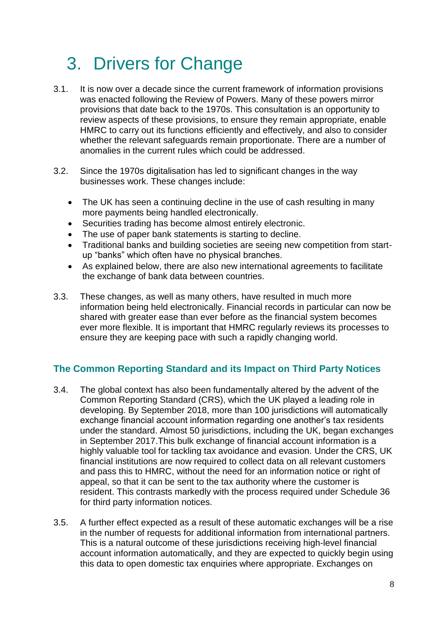### 3. Drivers for Change

- 3.1. It is now over a decade since the current framework of information provisions was enacted following the Review of Powers. Many of these powers mirror provisions that date back to the 1970s. This consultation is an opportunity to review aspects of these provisions, to ensure they remain appropriate, enable HMRC to carry out its functions efficiently and effectively, and also to consider whether the relevant safeguards remain proportionate. There are a number of anomalies in the current rules which could be addressed.
- 3.2. Since the 1970s digitalisation has led to significant changes in the way businesses work. These changes include:
	- The UK has seen a continuing decline in the use of cash resulting in many more payments being handled electronically.
	- Securities trading has become almost entirely electronic.
	- The use of paper bank statements is starting to decline.
	- Traditional banks and building societies are seeing new competition from startup "banks" which often have no physical branches.
	- As explained below, there are also new international agreements to facilitate the exchange of bank data between countries.
- 3.3. These changes, as well as many others, have resulted in much more information being held electronically. Financial records in particular can now be shared with greater ease than ever before as the financial system becomes ever more flexible. It is important that HMRC regularly reviews its processes to ensure they are keeping pace with such a rapidly changing world.

#### **The Common Reporting Standard and its Impact on Third Party Notices**

- 3.4. The global context has also been fundamentally altered by the advent of the Common Reporting Standard (CRS), which the UK played a leading role in developing. By September 2018, more than 100 jurisdictions will automatically exchange financial account information regarding one another's tax residents under the standard. Almost 50 jurisdictions, including the UK, began exchanges in September 2017.This bulk exchange of financial account information is a highly valuable tool for tackling tax avoidance and evasion. Under the CRS, UK financial institutions are now required to collect data on all relevant customers and pass this to HMRC, without the need for an information notice or right of appeal, so that it can be sent to the tax authority where the customer is resident. This contrasts markedly with the process required under Schedule 36 for third party information notices.
- 3.5. A further effect expected as a result of these automatic exchanges will be a rise in the number of requests for additional information from international partners. This is a natural outcome of these jurisdictions receiving high-level financial account information automatically, and they are expected to quickly begin using this data to open domestic tax enquiries where appropriate. Exchanges on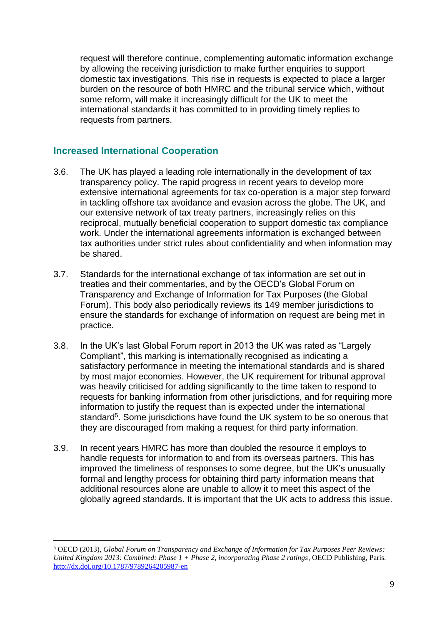request will therefore continue, complementing automatic information exchange by allowing the receiving jurisdiction to make further enquiries to support domestic tax investigations. This rise in requests is expected to place a larger burden on the resource of both HMRC and the tribunal service which, without some reform, will make it increasingly difficult for the UK to meet the international standards it has committed to in providing timely replies to requests from partners.

#### **Increased International Cooperation**

- 3.6. The UK has played a leading role internationally in the development of tax transparency policy. The rapid progress in recent years to develop more extensive international agreements for tax co-operation is a major step forward in tackling offshore tax avoidance and evasion across the globe. The UK, and our extensive network of tax treaty partners, increasingly relies on this reciprocal, mutually beneficial cooperation to support domestic tax compliance work. Under the international agreements information is exchanged between tax authorities under strict rules about confidentiality and when information may be shared.
- 3.7. Standards for the international exchange of tax information are set out in treaties and their commentaries, and by the OECD's Global Forum on Transparency and Exchange of Information for Tax Purposes (the Global Forum). This body also periodically reviews its 149 member jurisdictions to ensure the standards for exchange of information on request are being met in practice.
- 3.8. In the UK's last Global Forum report in 2013 the UK was rated as "Largely Compliant", this marking is internationally recognised as indicating a satisfactory performance in meeting the international standards and is shared by most major economies. However, the UK requirement for tribunal approval was heavily criticised for adding significantly to the time taken to respond to requests for banking information from other jurisdictions, and for requiring more information to justify the request than is expected under the international standard<sup>5</sup>. Some jurisdictions have found the UK system to be so onerous that they are discouraged from making a request for third party information.
- 3.9. In recent years HMRC has more than doubled the resource it employs to handle requests for information to and from its overseas partners. This has improved the timeliness of responses to some degree, but the UK's unusually formal and lengthy process for obtaining third party information means that additional resources alone are unable to allow it to meet this aspect of the globally agreed standards. It is important that the UK acts to address this issue.

<sup>5</sup> OECD (2013), *Global Forum on Transparency and Exchange of Information for Tax Purposes Peer Reviews: United Kingdom 2013: Combined: Phase 1 + Phase 2, incorporating Phase 2 ratings*, OECD Publishing, Paris. <http://dx.doi.org/10.1787/9789264205987-en>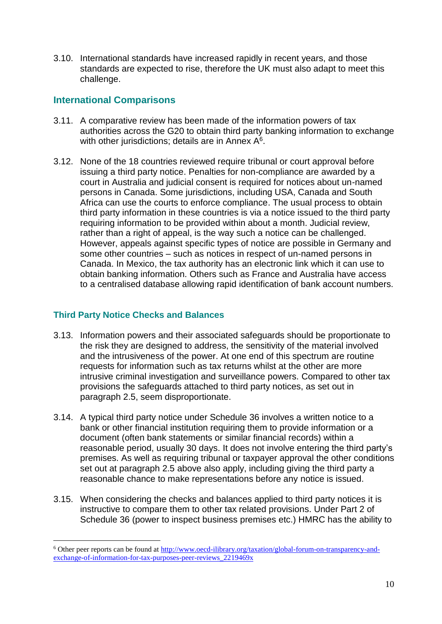3.10. International standards have increased rapidly in recent years, and those standards are expected to rise, therefore the UK must also adapt to meet this challenge.

#### **International Comparisons**

- 3.11. A comparative review has been made of the information powers of tax authorities across the G20 to obtain third party banking information to exchange with other jurisdictions; details are in Annex  $A<sup>6</sup>$ .
- 3.12. None of the 18 countries reviewed require tribunal or court approval before issuing a third party notice. Penalties for non-compliance are awarded by a court in Australia and judicial consent is required for notices about un-named persons in Canada. Some jurisdictions, including USA, Canada and South Africa can use the courts to enforce compliance. The usual process to obtain third party information in these countries is via a notice issued to the third party requiring information to be provided within about a month. Judicial review, rather than a right of appeal, is the way such a notice can be challenged. However, appeals against specific types of notice are possible in Germany and some other countries – such as notices in respect of un-named persons in Canada. In Mexico, the tax authority has an electronic link which it can use to obtain banking information. Others such as France and Australia have access to a centralised database allowing rapid identification of bank account numbers.

#### **Third Party Notice Checks and Balances**

- 3.13. Information powers and their associated safeguards should be proportionate to the risk they are designed to address, the sensitivity of the material involved and the intrusiveness of the power. At one end of this spectrum are routine requests for information such as tax returns whilst at the other are more intrusive criminal investigation and surveillance powers. Compared to other tax provisions the safeguards attached to third party notices, as set out in paragraph 2.5, seem disproportionate.
- 3.14. A typical third party notice under Schedule 36 involves a written notice to a bank or other financial institution requiring them to provide information or a document (often bank statements or similar financial records) within a reasonable period, usually 30 days. It does not involve entering the third party's premises. As well as requiring tribunal or taxpayer approval the other conditions set out at paragraph 2.5 above also apply, including giving the third party a reasonable chance to make representations before any notice is issued.
- 3.15. When considering the checks and balances applied to third party notices it is instructive to compare them to other tax related provisions. Under Part 2 of Schedule 36 (power to inspect business premises etc.) HMRC has the ability to

<sup>6</sup> Other peer reports can be found at [http://www.oecd-ilibrary.org/taxation/global-forum-on-transparency-and](http://www.oecd-ilibrary.org/taxation/global-forum-on-transparency-and-exchange-of-information-for-tax-purposes-peer-reviews_2219469x)[exchange-of-information-for-tax-purposes-peer-reviews\\_2219469x](http://www.oecd-ilibrary.org/taxation/global-forum-on-transparency-and-exchange-of-information-for-tax-purposes-peer-reviews_2219469x)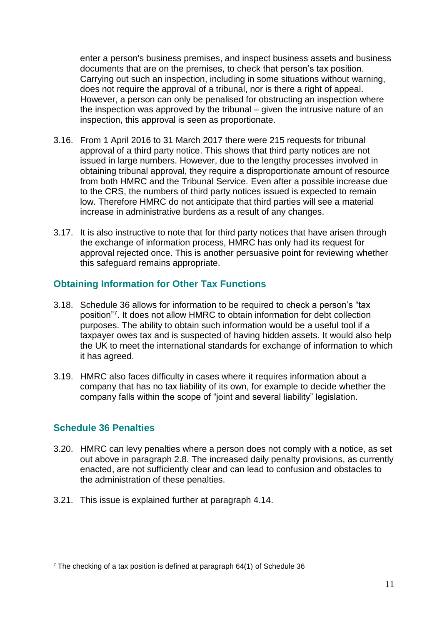enter a person's business premises, and inspect business assets and business documents that are on the premises, to check that person's tax position. Carrying out such an inspection, including in some situations without warning, does not require the approval of a tribunal, nor is there a right of appeal. However, a person can only be penalised for obstructing an inspection where the inspection was approved by the tribunal – given the intrusive nature of an inspection, this approval is seen as proportionate.

- 3.16. From 1 April 2016 to 31 March 2017 there were 215 requests for tribunal approval of a third party notice. This shows that third party notices are not issued in large numbers. However, due to the lengthy processes involved in obtaining tribunal approval, they require a disproportionate amount of resource from both HMRC and the Tribunal Service. Even after a possible increase due to the CRS, the numbers of third party notices issued is expected to remain low. Therefore HMRC do not anticipate that third parties will see a material increase in administrative burdens as a result of any changes.
- 3.17. It is also instructive to note that for third party notices that have arisen through the exchange of information process, HMRC has only had its request for approval rejected once. This is another persuasive point for reviewing whether this safeguard remains appropriate.

#### **Obtaining Information for Other Tax Functions**

- 3.18. Schedule 36 allows for information to be required to check a person's "tax position"<sup>7</sup> . It does not allow HMRC to obtain information for debt collection purposes. The ability to obtain such information would be a useful tool if a taxpayer owes tax and is suspected of having hidden assets. It would also help the UK to meet the international standards for exchange of information to which it has agreed.
- 3.19. HMRC also faces difficulty in cases where it requires information about a company that has no tax liability of its own, for example to decide whether the company falls within the scope of "joint and several liability" legislation.

#### **Schedule 36 Penalties**

- 3.20. HMRC can levy penalties where a person does not comply with a notice, as set out above in paragraph 2.8. The increased daily penalty provisions, as currently enacted, are not sufficiently clear and can lead to confusion and obstacles to the administration of these penalties.
- 3.21. This issue is explained further at paragraph 4.14.

<sup>1</sup>  $7$  The checking of a tax position is defined at paragraph 64(1) of Schedule 36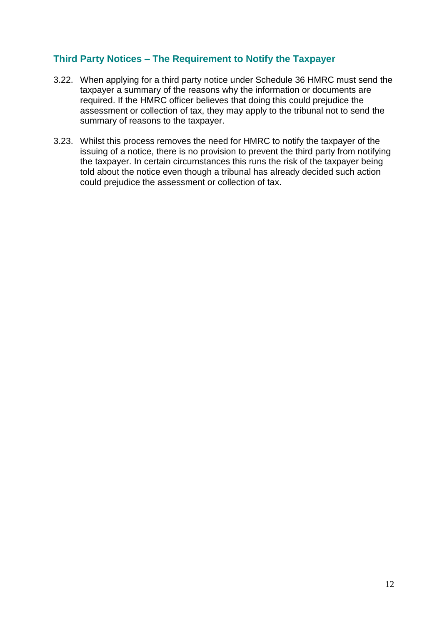#### **Third Party Notices – The Requirement to Notify the Taxpayer**

- 3.22. When applying for a third party notice under Schedule 36 HMRC must send the taxpayer a summary of the reasons why the information or documents are required. If the HMRC officer believes that doing this could prejudice the assessment or collection of tax, they may apply to the tribunal not to send the summary of reasons to the taxpayer.
- 3.23. Whilst this process removes the need for HMRC to notify the taxpayer of the issuing of a notice, there is no provision to prevent the third party from notifying the taxpayer. In certain circumstances this runs the risk of the taxpayer being told about the notice even though a tribunal has already decided such action could prejudice the assessment or collection of tax.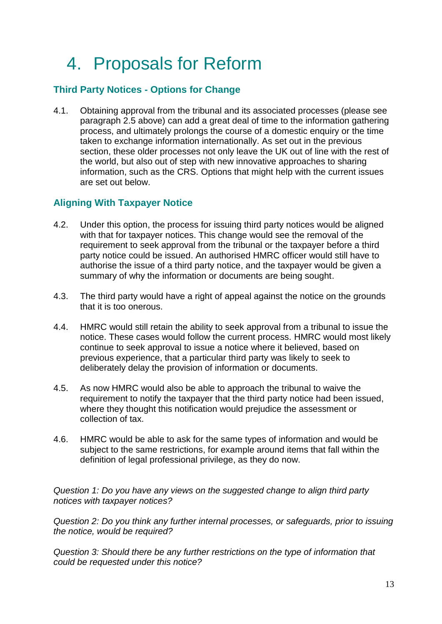### 4. Proposals for Reform

#### **Third Party Notices - Options for Change**

4.1. Obtaining approval from the tribunal and its associated processes (please see paragraph 2.5 above) can add a great deal of time to the information gathering process, and ultimately prolongs the course of a domestic enquiry or the time taken to exchange information internationally. As set out in the previous section, these older processes not only leave the UK out of line with the rest of the world, but also out of step with new innovative approaches to sharing information, such as the CRS. Options that might help with the current issues are set out below.

#### **Aligning With Taxpayer Notice**

- 4.2. Under this option, the process for issuing third party notices would be aligned with that for taxpayer notices. This change would see the removal of the requirement to seek approval from the tribunal or the taxpayer before a third party notice could be issued. An authorised HMRC officer would still have to authorise the issue of a third party notice, and the taxpayer would be given a summary of why the information or documents are being sought.
- 4.3. The third party would have a right of appeal against the notice on the grounds that it is too onerous.
- 4.4. HMRC would still retain the ability to seek approval from a tribunal to issue the notice. These cases would follow the current process. HMRC would most likely continue to seek approval to issue a notice where it believed, based on previous experience, that a particular third party was likely to seek to deliberately delay the provision of information or documents.
- 4.5. As now HMRC would also be able to approach the tribunal to waive the requirement to notify the taxpayer that the third party notice had been issued, where they thought this notification would prejudice the assessment or collection of tax.
- 4.6. HMRC would be able to ask for the same types of information and would be subject to the same restrictions, for example around items that fall within the definition of legal professional privilege, as they do now.

*Question 1: Do you have any views on the suggested change to align third party notices with taxpayer notices?*

*Question 2: Do you think any further internal processes, or safeguards, prior to issuing the notice, would be required?*

*Question 3: Should there be any further restrictions on the type of information that could be requested under this notice?*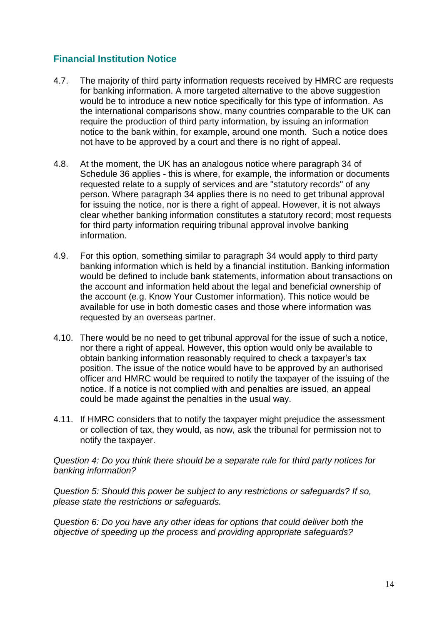#### **Financial Institution Notice**

- 4.7. The majority of third party information requests received by HMRC are requests for banking information. A more targeted alternative to the above suggestion would be to introduce a new notice specifically for this type of information. As the international comparisons show, many countries comparable to the UK can require the production of third party information, by issuing an information notice to the bank within, for example, around one month. Such a notice does not have to be approved by a court and there is no right of appeal.
- 4.8. At the moment, the UK has an analogous notice where paragraph 34 of Schedule 36 applies - this is where, for example, the information or documents requested relate to a supply of services and are "statutory records" of any person. Where paragraph 34 applies there is no need to get tribunal approval for issuing the notice, nor is there a right of appeal. However, it is not always clear whether banking information constitutes a statutory record; most requests for third party information requiring tribunal approval involve banking information.
- 4.9. For this option, something similar to paragraph 34 would apply to third party banking information which is held by a financial institution. Banking information would be defined to include bank statements, information about transactions on the account and information held about the legal and beneficial ownership of the account (e.g. Know Your Customer information). This notice would be available for use in both domestic cases and those where information was requested by an overseas partner.
- 4.10. There would be no need to get tribunal approval for the issue of such a notice, nor there a right of appeal. However, this option would only be available to obtain banking information reasonably required to check a taxpayer's tax position. The issue of the notice would have to be approved by an authorised officer and HMRC would be required to notify the taxpayer of the issuing of the notice. If a notice is not complied with and penalties are issued, an appeal could be made against the penalties in the usual way.
- 4.11. If HMRC considers that to notify the taxpayer might prejudice the assessment or collection of tax, they would, as now, ask the tribunal for permission not to notify the taxpayer.

*Question 4: Do you think there should be a separate rule for third party notices for banking information?*

*Question 5: Should this power be subject to any restrictions or safeguards? If so, please state the restrictions or safeguards.*

*Question 6: Do you have any other ideas for options that could deliver both the objective of speeding up the process and providing appropriate safeguards?*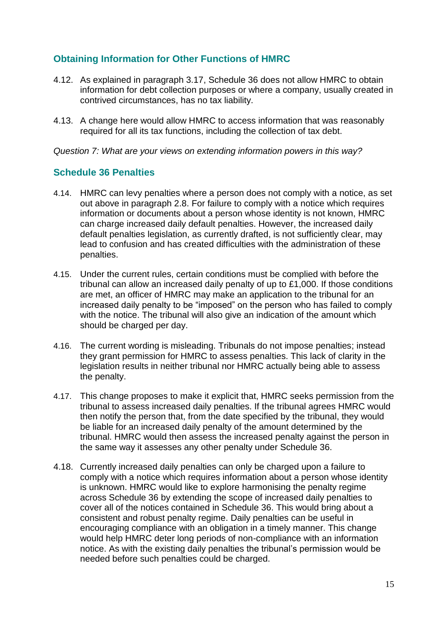#### **Obtaining Information for Other Functions of HMRC**

- 4.12. As explained in paragraph 3.17, Schedule 36 does not allow HMRC to obtain information for debt collection purposes or where a company, usually created in contrived circumstances, has no tax liability.
- 4.13. A change here would allow HMRC to access information that was reasonably required for all its tax functions, including the collection of tax debt.

*Question 7: What are your views on extending information powers in this way?*

#### **Schedule 36 Penalties**

- 4.14. HMRC can levy penalties where a person does not comply with a notice, as set out above in paragraph 2.8. For failure to comply with a notice which requires information or documents about a person whose identity is not known, HMRC can charge increased daily default penalties. However, the increased daily default penalties legislation, as currently drafted, is not sufficiently clear, may lead to confusion and has created difficulties with the administration of these penalties.
- 4.15. Under the current rules, certain conditions must be complied with before the tribunal can allow an increased daily penalty of up to £1,000. If those conditions are met, an officer of HMRC may make an application to the tribunal for an increased daily penalty to be "imposed" on the person who has failed to comply with the notice. The tribunal will also give an indication of the amount which should be charged per day.
- 4.16. The current wording is misleading. Tribunals do not impose penalties; instead they grant permission for HMRC to assess penalties. This lack of clarity in the legislation results in neither tribunal nor HMRC actually being able to assess the penalty.
- 4.17. This change proposes to make it explicit that, HMRC seeks permission from the tribunal to assess increased daily penalties. If the tribunal agrees HMRC would then notify the person that, from the date specified by the tribunal, they would be liable for an increased daily penalty of the amount determined by the tribunal. HMRC would then assess the increased penalty against the person in the same way it assesses any other penalty under Schedule 36.
- 4.18. Currently increased daily penalties can only be charged upon a failure to comply with a notice which requires information about a person whose identity is unknown. HMRC would like to explore harmonising the penalty regime across Schedule 36 by extending the scope of increased daily penalties to cover all of the notices contained in Schedule 36. This would bring about a consistent and robust penalty regime. Daily penalties can be useful in encouraging compliance with an obligation in a timely manner. This change would help HMRC deter long periods of non-compliance with an information notice. As with the existing daily penalties the tribunal's permission would be needed before such penalties could be charged.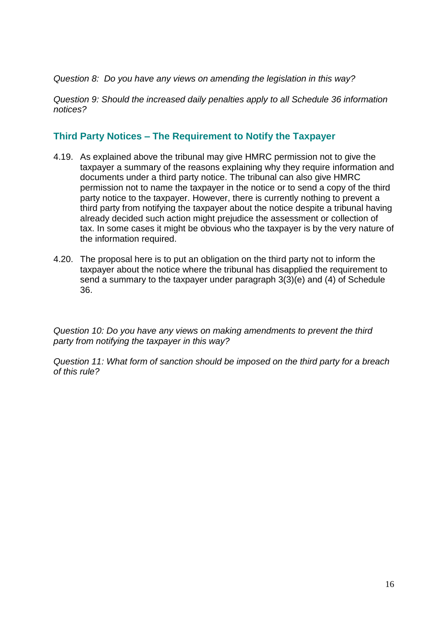*Question 8: Do you have any views on amending the legislation in this way?*

*Question 9: Should the increased daily penalties apply to all Schedule 36 information notices?*

#### **Third Party Notices – The Requirement to Notify the Taxpayer**

- 4.19. As explained above the tribunal may give HMRC permission not to give the taxpayer a summary of the reasons explaining why they require information and documents under a third party notice. The tribunal can also give HMRC permission not to name the taxpayer in the notice or to send a copy of the third party notice to the taxpayer. However, there is currently nothing to prevent a third party from notifying the taxpayer about the notice despite a tribunal having already decided such action might prejudice the assessment or collection of tax. In some cases it might be obvious who the taxpayer is by the very nature of the information required.
- 4.20. The proposal here is to put an obligation on the third party not to inform the taxpayer about the notice where the tribunal has disapplied the requirement to send a summary to the taxpayer under paragraph 3(3)(e) and (4) of Schedule 36.

*Question 10: Do you have any views on making amendments to prevent the third party from notifying the taxpayer in this way?*

*Question 11: What form of sanction should be imposed on the third party for a breach of this rule?*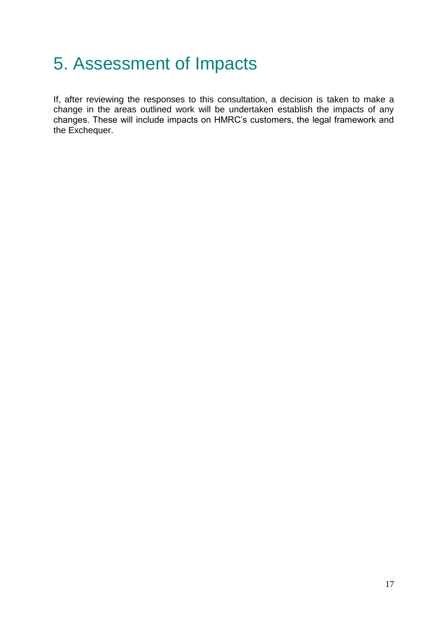### 5. Assessment of Impacts

If, after reviewing the responses to this consultation, a decision is taken to make a change in the areas outlined work will be undertaken establish the impacts of any changes. These will include impacts on HMRC's customers, the legal framework and the Exchequer.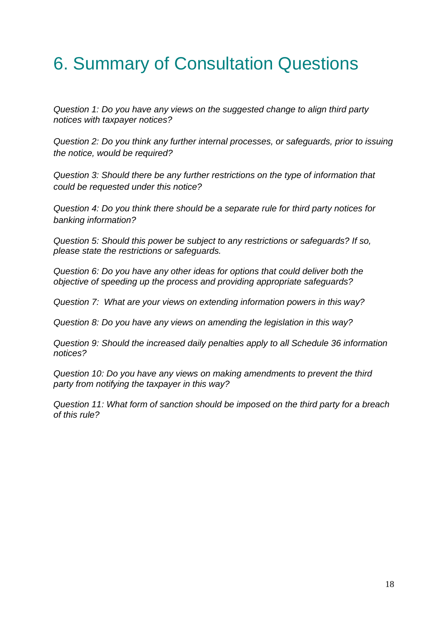### 6. Summary of Consultation Questions

*Question 1: Do you have any views on the suggested change to align third party notices with taxpayer notices?*

*Question 2: Do you think any further internal processes, or safeguards, prior to issuing the notice, would be required?*

*Question 3: Should there be any further restrictions on the type of information that could be requested under this notice?*

*Question 4: Do you think there should be a separate rule for third party notices for banking information?*

*Question 5: Should this power be subject to any restrictions or safeguards? If so, please state the restrictions or safeguards.*

*Question 6: Do you have any other ideas for options that could deliver both the objective of speeding up the process and providing appropriate safeguards?*

*Question 7: What are your views on extending information powers in this way?*

*Question 8: Do you have any views on amending the legislation in this way?*

*Question 9: Should the increased daily penalties apply to all Schedule 36 information notices?*

*Question 10: Do you have any views on making amendments to prevent the third party from notifying the taxpayer in this way?*

*Question 11: What form of sanction should be imposed on the third party for a breach of this rule?*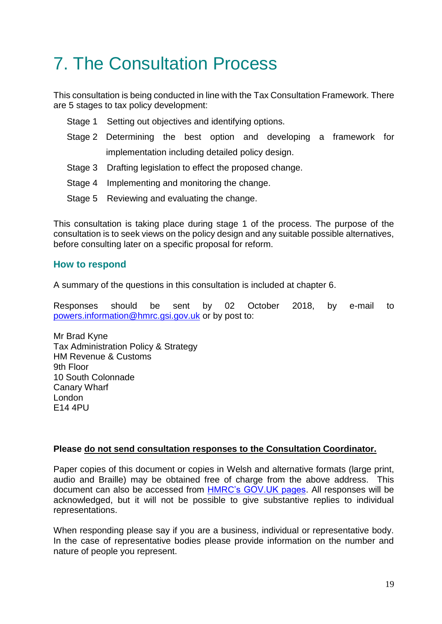### 7. The Consultation Process

This consultation is being conducted in line with the Tax Consultation Framework. There are 5 stages to tax policy development:

- Stage 1 Setting out objectives and identifying options.
- Stage 2 Determining the best option and developing a framework for implementation including detailed policy design.
- Stage 3 Drafting legislation to effect the proposed change.
- Stage 4 Implementing and monitoring the change.
- Stage 5 Reviewing and evaluating the change.

This consultation is taking place during stage 1 of the process. The purpose of the consultation is to seek views on the policy design and any suitable possible alternatives, before consulting later on a specific proposal for reform.

#### **How to respond**

A summary of the questions in this consultation is included at chapter 6.

Responses should be sent by 02 October 2018, by e-mail to [powers.information@hmrc.gsi.gov.uk](mailto:powers.information@hmrc.gsi.gov.uk) or by post to:

Mr Brad Kyne Tax Administration Policy & Strategy HM Revenue & Customs 9th Floor 10 South Colonnade Canary Wharf London E14 4PU

#### **Please do not send consultation responses to the Consultation Coordinator.**

Paper copies of this document or copies in Welsh and alternative formats (large print, audio and Braille) may be obtained free of charge from the above address. This document can also be accessed from [HMRC's GOV.UK pages.](http://www.gov.uk/hmrc) All responses will be acknowledged, but it will not be possible to give substantive replies to individual representations.

When responding please say if you are a business, individual or representative body. In the case of representative bodies please provide information on the number and nature of people you represent.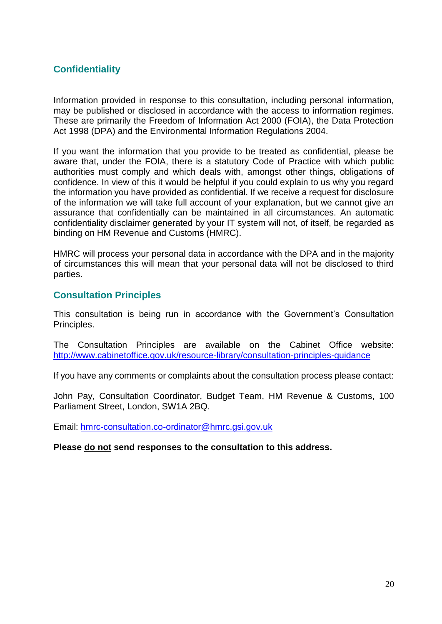#### **Confidentiality**

Information provided in response to this consultation, including personal information, may be published or disclosed in accordance with the access to information regimes. These are primarily the Freedom of Information Act 2000 (FOIA), the Data Protection Act 1998 (DPA) and the Environmental Information Regulations 2004.

If you want the information that you provide to be treated as confidential, please be aware that, under the FOIA, there is a statutory Code of Practice with which public authorities must comply and which deals with, amongst other things, obligations of confidence. In view of this it would be helpful if you could explain to us why you regard the information you have provided as confidential. If we receive a request for disclosure of the information we will take full account of your explanation, but we cannot give an assurance that confidentially can be maintained in all circumstances. An automatic confidentiality disclaimer generated by your IT system will not, of itself, be regarded as binding on HM Revenue and Customs (HMRC).

HMRC will process your personal data in accordance with the DPA and in the majority of circumstances this will mean that your personal data will not be disclosed to third parties.

#### **Consultation Principles**

This consultation is being run in accordance with the Government's Consultation Principles.

The Consultation Principles are available on the Cabinet Office website: <http://www.cabinetoffice.gov.uk/resource-library/consultation-principles-guidance>

If you have any comments or complaints about the consultation process please contact:

John Pay, Consultation Coordinator, Budget Team, HM Revenue & Customs, 100 Parliament Street, London, SW1A 2BQ.

Email: [hmrc-consultation.co-ordinator@hmrc.gsi.gov.uk](mailto:hmrc-consultation.co-ordinator@hmrc.gsi.gov.uk)

#### **Please do not send responses to the consultation to this address.**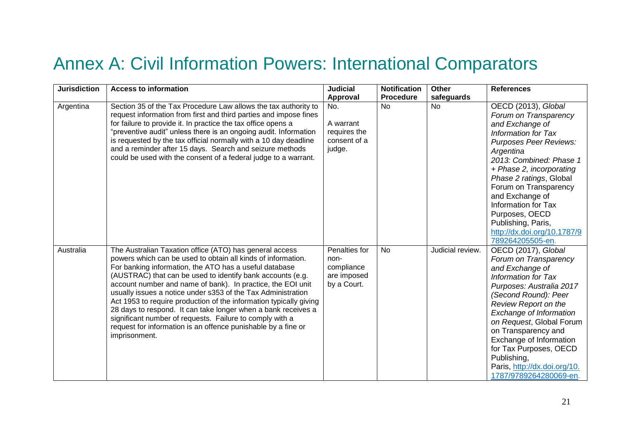### Annex A: Civil Information Powers: International Comparators

| <b>Jurisdiction</b> | <b>Access to information</b>                                                                                                                                                                                                                                                                                                                                                                                                                                                                                                                                                                                                                                        | <b>Judicial</b>                                                   | <b>Notification</b> | <b>Other</b>     | <b>References</b>                                                                                                                                                                                                                                                                                                                                                                    |
|---------------------|---------------------------------------------------------------------------------------------------------------------------------------------------------------------------------------------------------------------------------------------------------------------------------------------------------------------------------------------------------------------------------------------------------------------------------------------------------------------------------------------------------------------------------------------------------------------------------------------------------------------------------------------------------------------|-------------------------------------------------------------------|---------------------|------------------|--------------------------------------------------------------------------------------------------------------------------------------------------------------------------------------------------------------------------------------------------------------------------------------------------------------------------------------------------------------------------------------|
|                     |                                                                                                                                                                                                                                                                                                                                                                                                                                                                                                                                                                                                                                                                     | Approval                                                          | <b>Procedure</b>    | safeguards       |                                                                                                                                                                                                                                                                                                                                                                                      |
| Argentina           | Section 35 of the Tax Procedure Law allows the tax authority to<br>request information from first and third parties and impose fines<br>for failure to provide it. In practice the tax office opens a<br>"preventive audit" unless there is an ongoing audit. Information<br>is requested by the tax official normally with a 10 day deadline<br>and a reminder after 15 days. Search and seizure methods<br>could be used with the consent of a federal judge to a warrant.                                                                                                                                                                                        | No.<br>A warrant<br>requires the<br>consent of a<br>judge.        | <b>No</b>           | <b>No</b>        | OECD (2013), Global<br>Forum on Transparency<br>and Exchange of<br>Information for Tax<br><b>Purposes Peer Reviews:</b><br>Argentina<br>2013: Combined: Phase 1<br>+ Phase 2, incorporating<br>Phase 2 ratings, Global<br>Forum on Transparency<br>and Exchange of<br>Information for Tax<br>Purposes, OECD<br>Publishing, Paris,<br>http://dx.doi.org/10.1787/9<br>789264205505-en. |
| Australia           | The Australian Taxation office (ATO) has general access<br>powers which can be used to obtain all kinds of information.<br>For banking information, the ATO has a useful database<br>(AUSTRAC) that can be used to identify bank accounts (e.g.<br>account number and name of bank). In practice, the EOI unit<br>usually issues a notice under s353 of the Tax Administration<br>Act 1953 to require production of the information typically giving<br>28 days to respond. It can take longer when a bank receives a<br>significant number of requests. Failure to comply with a<br>request for information is an offence punishable by a fine or<br>imprisonment. | Penalties for<br>non-<br>compliance<br>are imposed<br>by a Court. | <b>No</b>           | Judicial review. | OECD (2017), Global<br>Forum on Transparency<br>and Exchange of<br>Information for Tax<br>Purposes: Australia 2017<br>(Second Round): Peer<br>Review Report on the<br>Exchange of Information<br>on Request, Global Forum<br>on Transparency and<br>Exchange of Information<br>for Tax Purposes, OECD<br>Publishing,<br>Paris, http://dx.doi.org/10.<br>1787/9789264280069-en.       |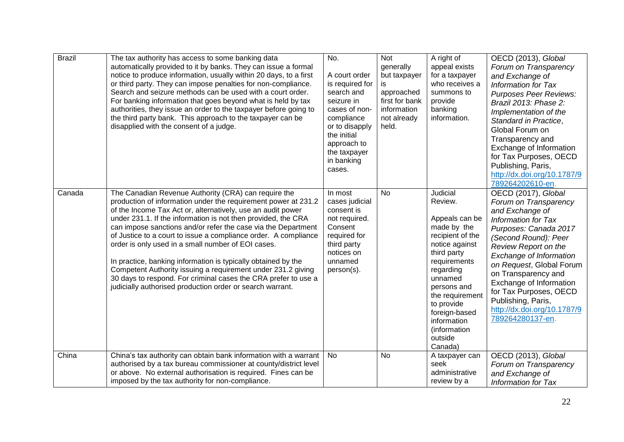| <b>Brazil</b> | The tax authority has access to some banking data<br>automatically provided to it by banks. They can issue a formal<br>notice to produce information, usually within 20 days, to a first<br>or third party. They can impose penalties for non-compliance.<br>Search and seizure methods can be used with a court order.<br>For banking information that goes beyond what is held by tax<br>authorities, they issue an order to the taxpayer before going to<br>the third party bank. This approach to the taxpayer can be<br>disapplied with the consent of a judge.                                                                                                                                             | No.<br>A court order<br>is required for<br>search and<br>seizure in<br>cases of non-<br>compliance<br>or to disapply<br>the initial<br>approach to<br>the taxpayer<br>in banking<br>cases. | <b>Not</b><br>generally<br>but taxpayer<br>is<br>approached<br>first for bank<br>information<br>not already<br>held. | A right of<br>appeal exists<br>for a taxpayer<br>who receives a<br>summons to<br>provide<br>banking<br>information.                                                                                                                                                     | OECD (2013), Global<br>Forum on Transparency<br>and Exchange of<br><b>Information for Tax</b><br><b>Purposes Peer Reviews:</b><br>Brazil 2013: Phase 2:<br>Implementation of the<br>Standard in Practice,<br>Global Forum on<br>Transparency and<br>Exchange of Information<br>for Tax Purposes, OECD<br>Publishing, Paris,<br>http://dx.doi.org/10.1787/9<br>789264202610-en.     |
|---------------|------------------------------------------------------------------------------------------------------------------------------------------------------------------------------------------------------------------------------------------------------------------------------------------------------------------------------------------------------------------------------------------------------------------------------------------------------------------------------------------------------------------------------------------------------------------------------------------------------------------------------------------------------------------------------------------------------------------|--------------------------------------------------------------------------------------------------------------------------------------------------------------------------------------------|----------------------------------------------------------------------------------------------------------------------|-------------------------------------------------------------------------------------------------------------------------------------------------------------------------------------------------------------------------------------------------------------------------|------------------------------------------------------------------------------------------------------------------------------------------------------------------------------------------------------------------------------------------------------------------------------------------------------------------------------------------------------------------------------------|
| Canada        | The Canadian Revenue Authority (CRA) can require the<br>production of information under the requirement power at 231.2<br>of the Income Tax Act or, alternatively, use an audit power<br>under 231.1. If the information is not then provided, the CRA<br>can impose sanctions and/or refer the case via the Department<br>of Justice to a court to issue a compliance order. A compliance<br>order is only used in a small number of EOI cases.<br>In practice, banking information is typically obtained by the<br>Competent Authority issuing a requirement under 231.2 giving<br>30 days to respond. For criminal cases the CRA prefer to use a<br>judicially authorised production order or search warrant. | In most<br>cases judicial<br>consent is<br>not required.<br>Consent<br>required for<br>third party<br>notices on<br>unnamed<br>person(s).                                                  | No                                                                                                                   | Judicial<br>Review.<br>Appeals can be<br>made by the<br>recipient of the<br>notice against<br>third party<br>requirements<br>regarding<br>unnamed<br>persons and<br>the requirement<br>to provide<br>foreign-based<br>information<br>(information<br>outside<br>Canada) | OECD (2017), Global<br>Forum on Transparency<br>and Exchange of<br><b>Information for Tax</b><br>Purposes: Canada 2017<br>(Second Round): Peer<br>Review Report on the<br>Exchange of Information<br>on Request, Global Forum<br>on Transparency and<br>Exchange of Information<br>for Tax Purposes, OECD<br>Publishing, Paris,<br>http://dx.doi.org/10.1787/9<br>789264280137-en. |
| China         | China's tax authority can obtain bank information with a warrant<br>authorised by a tax bureau commissioner at county/district level<br>or above. No external authorisation is required. Fines can be<br>imposed by the tax authority for non-compliance.                                                                                                                                                                                                                                                                                                                                                                                                                                                        | No                                                                                                                                                                                         | No                                                                                                                   | A taxpayer can<br>seek<br>administrative<br>review by a                                                                                                                                                                                                                 | OECD (2013), Global<br>Forum on Transparency<br>and Exchange of<br><b>Information for Tax</b>                                                                                                                                                                                                                                                                                      |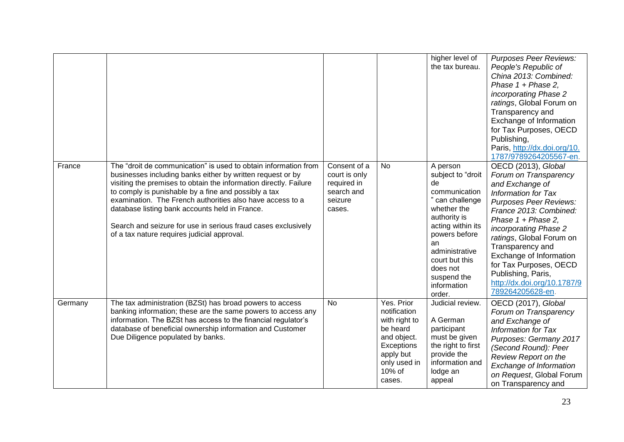|         |                                                                                                                                                                                                                                                                                                                                                                                                                                                                                           |                                                                                 |                                                                                                                                       | higher level of<br>the tax bureau.                                                                                                                                                                                                         | <b>Purposes Peer Reviews:</b><br>People's Republic of<br>China 2013: Combined:<br>Phase $1 + Phase 2$ ,<br>incorporating Phase 2<br>ratings, Global Forum on<br>Transparency and<br>Exchange of Information<br>for Tax Purposes, OECD<br>Publishing,<br>Paris, http://dx.doi.org/10.<br>1787/9789264205567-en.                                                                    |
|---------|-------------------------------------------------------------------------------------------------------------------------------------------------------------------------------------------------------------------------------------------------------------------------------------------------------------------------------------------------------------------------------------------------------------------------------------------------------------------------------------------|---------------------------------------------------------------------------------|---------------------------------------------------------------------------------------------------------------------------------------|--------------------------------------------------------------------------------------------------------------------------------------------------------------------------------------------------------------------------------------------|-----------------------------------------------------------------------------------------------------------------------------------------------------------------------------------------------------------------------------------------------------------------------------------------------------------------------------------------------------------------------------------|
| France  | The "droit de communication" is used to obtain information from<br>businesses including banks either by written request or by<br>visiting the premises to obtain the information directly. Failure<br>to comply is punishable by a fine and possibly a tax<br>examination. The French authorities also have access to a<br>database listing bank accounts held in France.<br>Search and seizure for use in serious fraud cases exclusively<br>of a tax nature requires judicial approval. | Consent of a<br>court is only<br>required in<br>search and<br>seizure<br>cases. | No                                                                                                                                    | A person<br>subject to "droit<br>de<br>communication<br>" can challenge<br>whether the<br>authority is<br>acting within its<br>powers before<br>an<br>administrative<br>court but this<br>does not<br>suspend the<br>information<br>order. | OECD (2013), Global<br>Forum on Transparency<br>and Exchange of<br>Information for Tax<br><b>Purposes Peer Reviews:</b><br>France 2013: Combined:<br>Phase $1 + Phase 2$ ,<br>incorporating Phase 2<br>ratings, Global Forum on<br>Transparency and<br>Exchange of Information<br>for Tax Purposes, OECD<br>Publishing, Paris,<br>http://dx.doi.org/10.1787/9<br>789264205628-en. |
| Germany | The tax administration (BZSt) has broad powers to access<br>banking information; these are the same powers to access any<br>information. The BZSt has access to the financial regulator's<br>database of beneficial ownership information and Customer<br>Due Diligence populated by banks.                                                                                                                                                                                               | <b>No</b>                                                                       | Yes. Prior<br>notification<br>with right to<br>be heard<br>and object.<br>Exceptions<br>apply but<br>only used in<br>10% of<br>cases. | Judicial review.<br>A German<br>participant<br>must be given<br>the right to first<br>provide the<br>information and<br>lodge an<br>appeal                                                                                                 | OECD (2017), Global<br>Forum on Transparency<br>and Exchange of<br>Information for Tax<br>Purposes: Germany 2017<br>(Second Round): Peer<br>Review Report on the<br>Exchange of Information<br>on Request, Global Forum<br>on Transparency and                                                                                                                                    |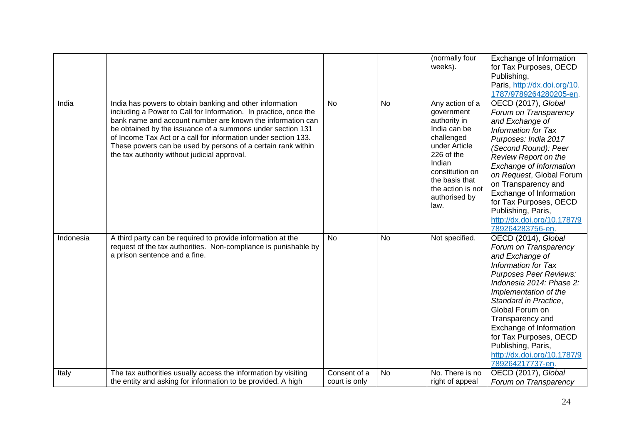|           |                                                                                                                                                                                                                                                                                                                                                                                                                                            |               |           | (normally four<br>weeks).                                                                                                                                                                               | Exchange of Information<br>for Tax Purposes, OECD<br>Publishing,<br>Paris, http://dx.doi.org/10.<br>1787/9789264280205-en.                                                                                                                                                                                                                                                        |
|-----------|--------------------------------------------------------------------------------------------------------------------------------------------------------------------------------------------------------------------------------------------------------------------------------------------------------------------------------------------------------------------------------------------------------------------------------------------|---------------|-----------|---------------------------------------------------------------------------------------------------------------------------------------------------------------------------------------------------------|-----------------------------------------------------------------------------------------------------------------------------------------------------------------------------------------------------------------------------------------------------------------------------------------------------------------------------------------------------------------------------------|
| India     | India has powers to obtain banking and other information<br>including a Power to Call for Information. In practice, once the<br>bank name and account number are known the information can<br>be obtained by the issuance of a summons under section 131<br>of Income Tax Act or a call for information under section 133.<br>These powers can be used by persons of a certain rank within<br>the tax authority without judicial approval. | <b>No</b>     | <b>No</b> | Any action of a<br>government<br>authority in<br>India can be<br>challenged<br>under Article<br>226 of the<br>Indian<br>constitution on<br>the basis that<br>the action is not<br>authorised by<br>law. | OECD (2017), Global<br>Forum on Transparency<br>and Exchange of<br>Information for Tax<br>Purposes: India 2017<br>(Second Round): Peer<br>Review Report on the<br>Exchange of Information<br>on Request, Global Forum<br>on Transparency and<br>Exchange of Information<br>for Tax Purposes, OECD<br>Publishing, Paris,<br>http://dx.doi.org/10.1787/9<br>789264283756-en.        |
| Indonesia | A third party can be required to provide information at the<br>request of the tax authorities. Non-compliance is punishable by<br>a prison sentence and a fine.                                                                                                                                                                                                                                                                            | <b>No</b>     | <b>No</b> | Not specified.                                                                                                                                                                                          | OECD (2014), Global<br>Forum on Transparency<br>and Exchange of<br><b>Information for Tax</b><br><b>Purposes Peer Reviews:</b><br>Indonesia 2014: Phase 2:<br>Implementation of the<br>Standard in Practice,<br>Global Forum on<br>Transparency and<br>Exchange of Information<br>for Tax Purposes, OECD<br>Publishing, Paris,<br>http://dx.doi.org/10.1787/9<br>789264217737-en. |
| Italy     | The tax authorities usually access the information by visiting                                                                                                                                                                                                                                                                                                                                                                             | Consent of a  | No        | No. There is no                                                                                                                                                                                         | OECD (2017), Global                                                                                                                                                                                                                                                                                                                                                               |
|           | the entity and asking for information to be provided. A high                                                                                                                                                                                                                                                                                                                                                                               | court is only |           | right of appeal                                                                                                                                                                                         | Forum on Transparency                                                                                                                                                                                                                                                                                                                                                             |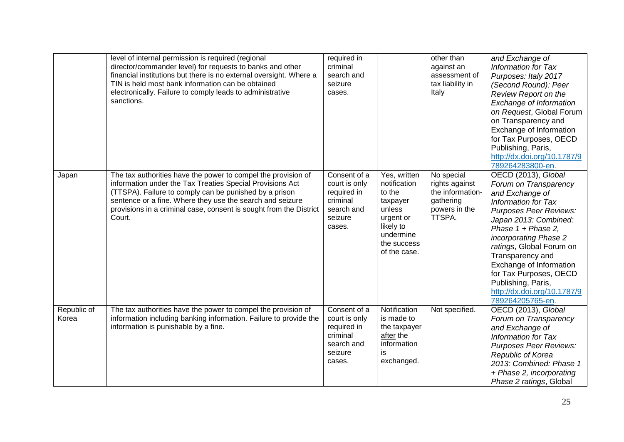|                      | level of internal permission is required (regional<br>director/commander level) for requests to banks and other<br>financial institutions but there is no external oversight. Where a<br>TIN is held most bank information can be obtained<br>electronically. Failure to comply leads to administrative<br>sanctions.             | required in<br>criminal<br>search and<br>seizure<br>cases.                                  |                                                                                                                                    | other than<br>against an<br>assessment of<br>tax liability in<br>Italy                   | and Exchange of<br>Information for Tax<br>Purposes: Italy 2017<br>(Second Round): Peer<br><b>Review Report on the</b><br>Exchange of Information<br>on Request, Global Forum<br>on Transparency and<br>Exchange of Information<br>for Tax Purposes, OECD<br>Publishing, Paris,<br>http://dx.doi.org/10.1787/9<br>789264283800-en.                                                    |
|----------------------|-----------------------------------------------------------------------------------------------------------------------------------------------------------------------------------------------------------------------------------------------------------------------------------------------------------------------------------|---------------------------------------------------------------------------------------------|------------------------------------------------------------------------------------------------------------------------------------|------------------------------------------------------------------------------------------|--------------------------------------------------------------------------------------------------------------------------------------------------------------------------------------------------------------------------------------------------------------------------------------------------------------------------------------------------------------------------------------|
| Japan                | The tax authorities have the power to compel the provision of<br>information under the Tax Treaties Special Provisions Act<br>(TTSPA). Failure to comply can be punished by a prison<br>sentence or a fine. Where they use the search and seizure<br>provisions in a criminal case, consent is sought from the District<br>Court. | Consent of a<br>court is only<br>required in<br>criminal<br>search and<br>seizure<br>cases. | Yes, written<br>notification<br>to the<br>taxpayer<br>unless<br>urgent or<br>likely to<br>undermine<br>the success<br>of the case. | No special<br>rights against<br>the information-<br>gathering<br>powers in the<br>TTSPA. | OECD (2013), Global<br>Forum on Transparency<br>and Exchange of<br><b>Information for Tax</b><br><b>Purposes Peer Reviews:</b><br>Japan 2013: Combined:<br>Phase 1 + Phase 2,<br>incorporating Phase 2<br>ratings, Global Forum on<br>Transparency and<br>Exchange of Information<br>for Tax Purposes, OECD<br>Publishing, Paris,<br>http://dx.doi.org/10.1787/9<br>789264205765-en. |
| Republic of<br>Korea | The tax authorities have the power to compel the provision of<br>information including banking information. Failure to provide the<br>information is punishable by a fine.                                                                                                                                                        | Consent of a<br>court is only<br>required in<br>criminal<br>search and<br>seizure<br>cases. | Notification<br>is made to<br>the taxpayer<br>after the<br>information<br>is<br>exchanged.                                         | Not specified.                                                                           | OECD (2013), Global<br>Forum on Transparency<br>and Exchange of<br><b>Information for Tax</b><br><b>Purposes Peer Reviews:</b><br>Republic of Korea<br>2013: Combined: Phase 1<br>+ Phase 2, incorporating<br>Phase 2 ratings, Global                                                                                                                                                |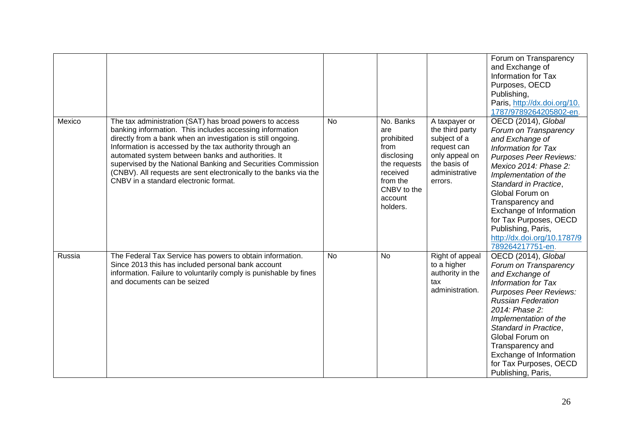|        |                                                                                                                                                                                                                                                                                                                                                                                                                                                                                    |           |                                                                                                                                    |                                                                                                                                | Forum on Transparency<br>and Exchange of<br>Information for Tax<br>Purposes, OECD<br>Publishing,<br>Paris, http://dx.doi.org/10.<br>1787/9789264205802-en.                                                                                                                                                                                                       |
|--------|------------------------------------------------------------------------------------------------------------------------------------------------------------------------------------------------------------------------------------------------------------------------------------------------------------------------------------------------------------------------------------------------------------------------------------------------------------------------------------|-----------|------------------------------------------------------------------------------------------------------------------------------------|--------------------------------------------------------------------------------------------------------------------------------|------------------------------------------------------------------------------------------------------------------------------------------------------------------------------------------------------------------------------------------------------------------------------------------------------------------------------------------------------------------|
| Mexico | The tax administration (SAT) has broad powers to access<br>banking information. This includes accessing information<br>directly from a bank when an investigation is still ongoing.<br>Information is accessed by the tax authority through an<br>automated system between banks and authorities. It<br>supervised by the National Banking and Securities Commission<br>(CNBV). All requests are sent electronically to the banks via the<br>CNBV in a standard electronic format. | <b>No</b> | No. Banks<br>are<br>prohibited<br>from<br>disclosing<br>the requests<br>received<br>from the<br>CNBV to the<br>account<br>holders. | A taxpayer or<br>the third party<br>subject of a<br>request can<br>only appeal on<br>the basis of<br>administrative<br>errors. | OECD (2014), Global<br>Forum on Transparency<br>and Exchange of<br>Information for Tax<br>Purposes Peer Reviews:<br>Mexico 2014: Phase 2:<br>Implementation of the<br>Standard in Practice,<br>Global Forum on<br>Transparency and<br>Exchange of Information<br>for Tax Purposes, OECD<br>Publishing, Paris,<br>http://dx.doi.org/10.1787/9<br>789264217751-en. |
| Russia | The Federal Tax Service has powers to obtain information.<br>Since 2013 this has included personal bank account<br>information. Failure to voluntarily comply is punishable by fines<br>and documents can be seized                                                                                                                                                                                                                                                                | <b>No</b> | <b>No</b>                                                                                                                          | Right of appeal<br>to a higher<br>authority in the<br>tax<br>administration.                                                   | OECD (2014), Global<br>Forum on Transparency<br>and Exchange of<br>Information for Tax<br><b>Purposes Peer Reviews:</b><br><b>Russian Federation</b><br>2014: Phase 2:<br>Implementation of the<br>Standard in Practice,<br>Global Forum on<br>Transparency and<br>Exchange of Information<br>for Tax Purposes, OECD<br>Publishing, Paris,                       |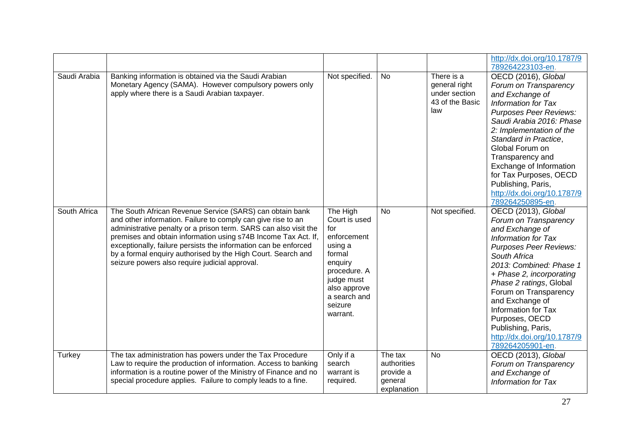|              |                                                                                                                                                                                                                                                                                                                                                                                                                                                     |                                                                                                                                                                      |                                                               |                                                                        | http://dx.doi.org/10.1787/9<br>789264223103-en.                                                                                                                                                                                                                                                                                                                                                |
|--------------|-----------------------------------------------------------------------------------------------------------------------------------------------------------------------------------------------------------------------------------------------------------------------------------------------------------------------------------------------------------------------------------------------------------------------------------------------------|----------------------------------------------------------------------------------------------------------------------------------------------------------------------|---------------------------------------------------------------|------------------------------------------------------------------------|------------------------------------------------------------------------------------------------------------------------------------------------------------------------------------------------------------------------------------------------------------------------------------------------------------------------------------------------------------------------------------------------|
| Saudi Arabia | Banking information is obtained via the Saudi Arabian<br>Monetary Agency (SAMA). However compulsory powers only<br>apply where there is a Saudi Arabian taxpayer.                                                                                                                                                                                                                                                                                   | Not specified.                                                                                                                                                       | <b>No</b>                                                     | There is a<br>general right<br>under section<br>43 of the Basic<br>law | OECD (2016), Global<br>Forum on Transparency<br>and Exchange of<br>Information for Tax<br><b>Purposes Peer Reviews:</b><br>Saudi Arabia 2016: Phase<br>2: Implementation of the<br>Standard in Practice,<br>Global Forum on<br>Transparency and<br>Exchange of Information<br>for Tax Purposes, OECD<br>Publishing, Paris,<br>http://dx.doi.org/10.1787/9<br>789264250895-en.                  |
| South Africa | The South African Revenue Service (SARS) can obtain bank<br>and other information. Failure to comply can give rise to an<br>administrative penalty or a prison term. SARS can also visit the<br>premises and obtain information using s74B Income Tax Act. If,<br>exceptionally, failure persists the information can be enforced<br>by a formal enquiry authorised by the High Court. Search and<br>seizure powers also require judicial approval. | The High<br>Court is used<br>for<br>enforcement<br>using a<br>formal<br>enquiry<br>procedure. A<br>judge must<br>also approve<br>a search and<br>seizure<br>warrant. | <b>No</b>                                                     | Not specified.                                                         | OECD (2013), Global<br>Forum on Transparency<br>and Exchange of<br><b>Information for Tax</b><br><b>Purposes Peer Reviews:</b><br>South Africa<br>2013: Combined: Phase 1<br>+ Phase 2, incorporating<br>Phase 2 ratings, Global<br>Forum on Transparency<br>and Exchange of<br>Information for Tax<br>Purposes, OECD<br>Publishing, Paris,<br>http://dx.doi.org/10.1787/9<br>789264205901-en. |
| Turkey       | The tax administration has powers under the Tax Procedure<br>Law to require the production of information. Access to banking<br>information is a routine power of the Ministry of Finance and no<br>special procedure applies. Failure to comply leads to a fine.                                                                                                                                                                                   | Only if a<br>search<br>warrant is<br>required.                                                                                                                       | The tax<br>authorities<br>provide a<br>general<br>explanation | <b>No</b>                                                              | OECD (2013), Global<br>Forum on Transparency<br>and Exchange of<br><b>Information for Tax</b>                                                                                                                                                                                                                                                                                                  |